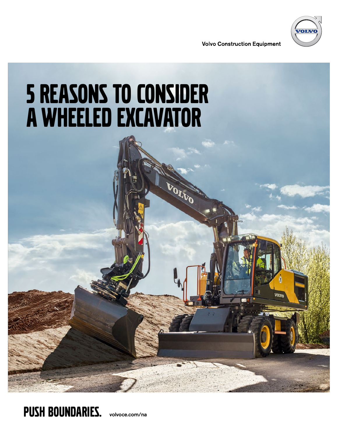

**VOLTN** 

**Volvo Construction Equipment** 

# 5 reasons to consider a wheeled excavator

**VOLVO** 

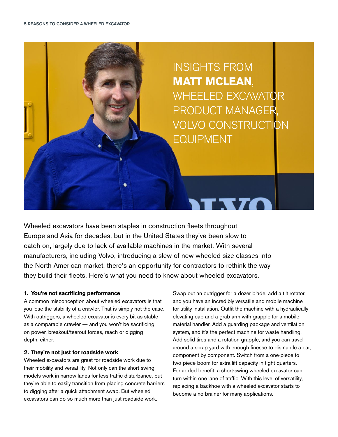

Wheeled excavators have been staples in construction fleets throughout Europe and Asia for decades, but in the United States they've been slow to catch on, largely due to lack of available machines in the market. With several manufacturers, including Volvo, introducing a slew of new wheeled size classes into the North American market, there's an opportunity for contractors to rethink the way they build their fleets. Here's what you need to know about wheeled excavators.

# **1. You're not sacrificing performance**

A common misconception about wheeled excavators is that you lose the stability of a crawler. That is simply not the case. With outriggers, a wheeled excavator is every bit as stable as a comparable crawler — and you won't be sacrificing on power, breakout/tearout forces, reach or digging depth, either.

## **2. They're not just for roadside work**

Wheeled excavators are great for roadside work due to their mobility and versatility. Not only can the short-swing models work in narrow lanes for less traffic disturbance, but they're able to easily transition from placing concrete barriers to digging after a quick attachment swap. But wheeled excavators can do so much more than just roadside work.

Swap out an outrigger for a dozer blade, add a tilt rotator, and you have an incredibly versatile and mobile machine for utility installation. Outfit the machine with a hydraulically elevating cab and a grab arm with grapple for a mobile material handler. Add a guarding package and ventilation system, and it's the perfect machine for waste handling. Add solid tires and a rotation grapple, and you can travel around a scrap yard with enough finesse to dismantle a car, component by component. Switch from a one-piece to two-piece boom for extra lift capacity in tight quarters. For added benefit, a short-swing wheeled excavator can turn within one lane of traffic. With this level of versatility, replacing a backhoe with a wheeled excavator starts to become a no-brainer for many applications.